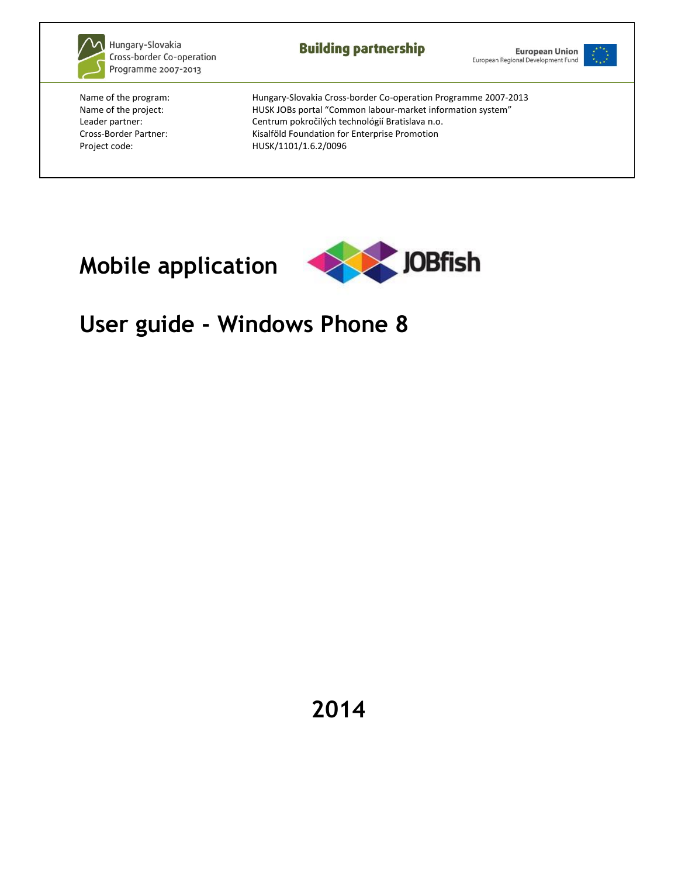

Hungary-Slovakia Cross-border Co-operation Programme 2007-2013

**Building partnership** 





Name of the program: Hungary-Slovakia Cross-border Co-operation Programme 2007-2013 Name of the project: <br> HUSK JOBs portal "Common labour-market information system" Leader partner: Centrum pokročilých technológií Bratislava n.o. Cross-Border Partner: Kisalföld Foundation for Enterprise Promotion Project code: HUSK/1101/1.6.2/0096

# **Mobile application**



# **User guide - Windows Phone 8**

**2014**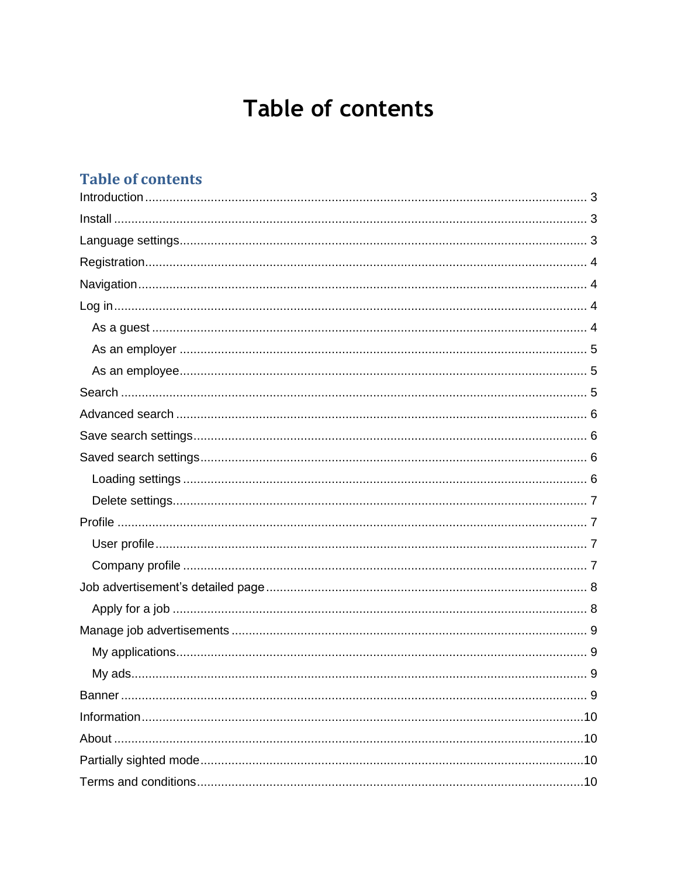# Table of contents

### **Table of contents**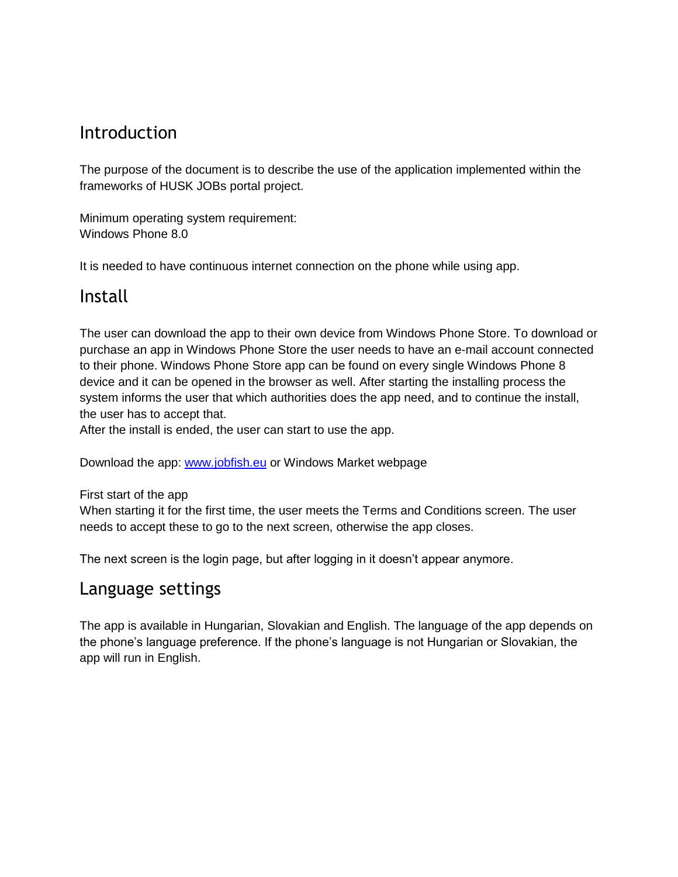### <span id="page-2-0"></span>Introduction

The purpose of the document is to describe the use of the application implemented within the frameworks of HUSK JOBs portal project.

Minimum operating system requirement: Windows Phone 8.0

It is needed to have continuous internet connection on the phone while using app.

### <span id="page-2-1"></span>Install

The user can download the app to their own device from Windows Phone Store. To download or purchase an app in Windows Phone Store the user needs to have an e-mail account connected to their phone. Windows Phone Store app can be found on every single Windows Phone 8 device and it can be opened in the browser as well. After starting the installing process the system informs the user that which authorities does the app need, and to continue the install, the user has to accept that.

After the install is ended, the user can start to use the app.

Download the app: [www.jobfish.eu](http://www.jobfish.eu/) or Windows Market webpage

First start of the app

When starting it for the first time, the user meets the Terms and Conditions screen. The user needs to accept these to go to the next screen, otherwise the app closes.

The next screen is the login page, but after logging in it doesn't appear anymore.

### <span id="page-2-2"></span>Language settings

<span id="page-2-3"></span>The app is available in Hungarian, Slovakian and English. The language of the app depends on the phone's language preference. If the phone's language is not Hungarian or Slovakian, the app will run in English.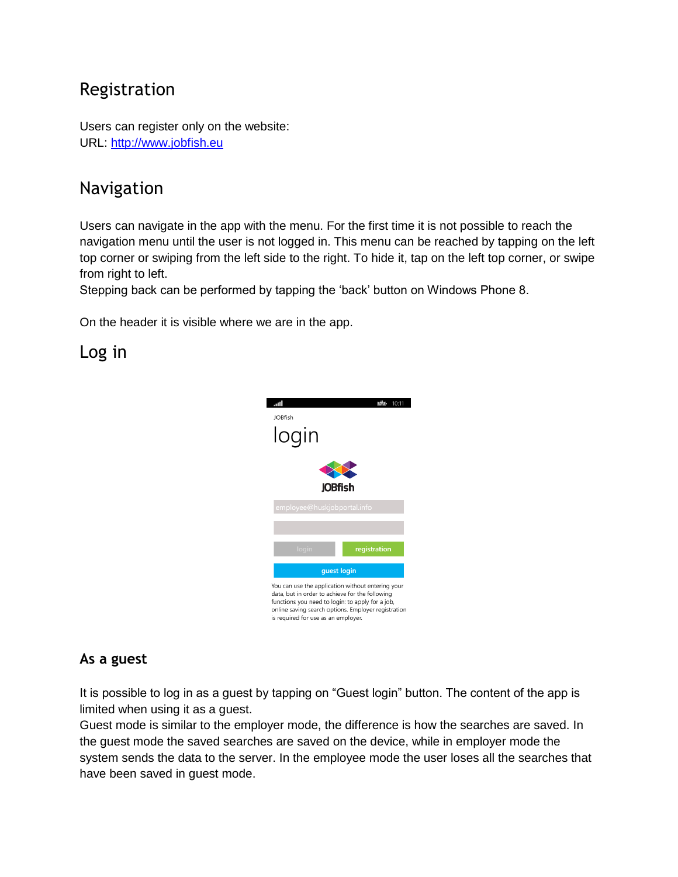# Registration

Users can register only on the website: URL: [http://www.jobfish.eu](http://www.jobfish.eu/)

## <span id="page-3-0"></span>Navigation

Users can navigate in the app with the menu. For the first time it is not possible to reach the navigation menu until the user is not logged in. This menu can be reached by tapping on the left top corner or swiping from the left side to the right. To hide it, tap on the left top corner, or swipe from right to left.

Stepping back can be performed by tapping the 'back' button on Windows Phone 8.

On the header it is visible where we are in the app.

### <span id="page-3-1"></span>Log in



#### <span id="page-3-2"></span>**As a guest**

It is possible to log in as a guest by tapping on "Guest login" button. The content of the app is limited when using it as a guest.

Guest mode is similar to the employer mode, the difference is how the searches are saved. In the guest mode the saved searches are saved on the device, while in employer mode the system sends the data to the server. In the employee mode the user loses all the searches that have been saved in guest mode.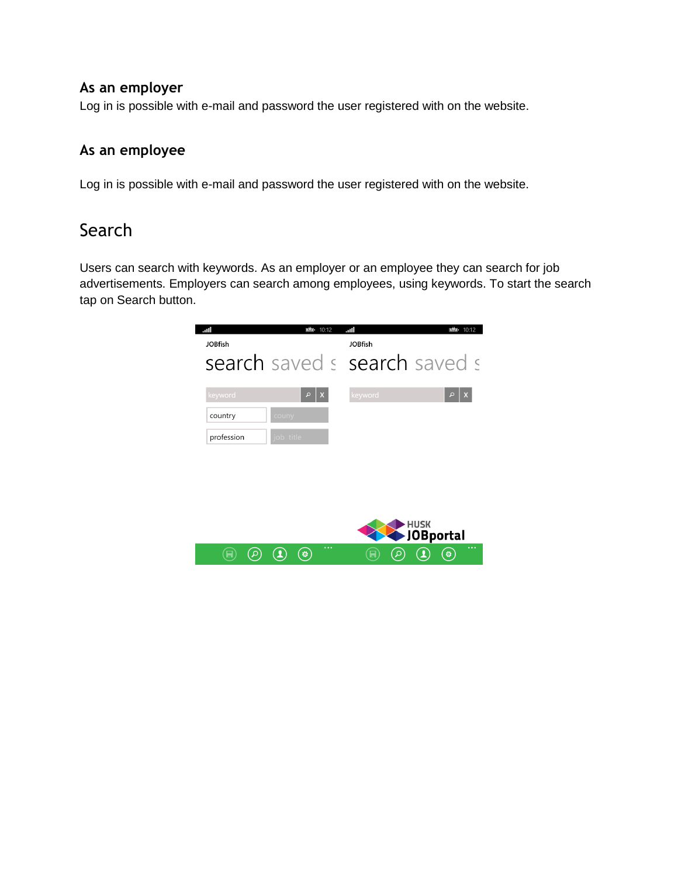#### <span id="page-4-0"></span>**As an employer**

Log in is possible with e-mail and password the user registered with on the website.

#### <span id="page-4-1"></span>**As an employee**

Log in is possible with e-mail and password the user registered with on the website.

### <span id="page-4-2"></span>Search

Users can search with keywords. As an employer or an employee they can search for job advertisements. Employers can search among employees, using keywords. To start the search tap on Search button.

<span id="page-4-3"></span>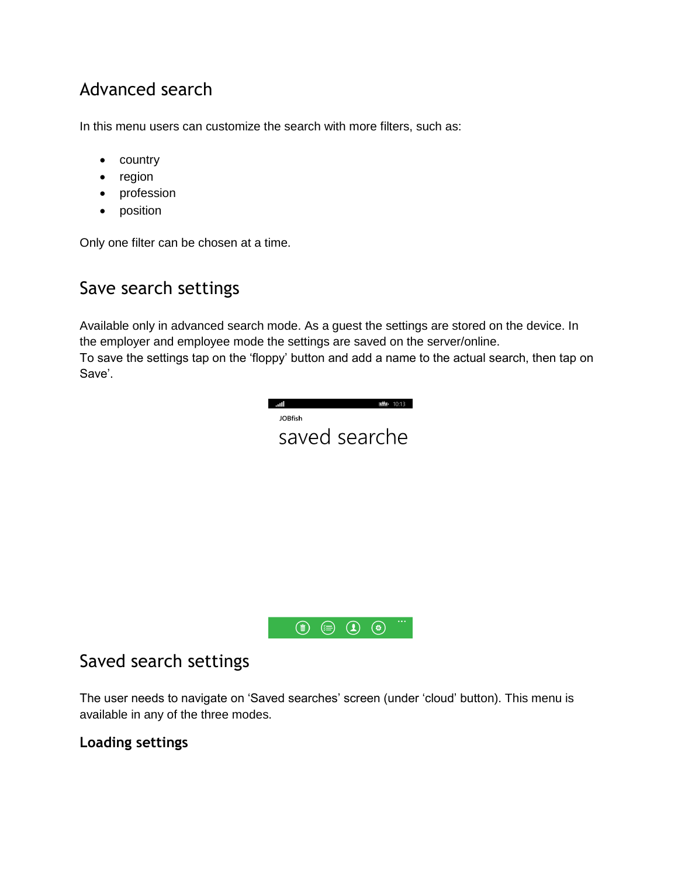# Advanced search

In this menu users can customize the search with more filters, such as:

- country
- region
- profession
- position

Only one filter can be chosen at a time.

## <span id="page-5-0"></span>Save search settings

Available only in advanced search mode. As a guest the settings are stored on the device. In the employer and employee mode the settings are saved on the server/online. To save the settings tap on the 'floppy' button and add a name to the actual search, then tap on Save'.

| 凹凸<br>ani)<br>10:13<br><b>JOBfish</b><br>saved searche |  |
|--------------------------------------------------------|--|
|                                                        |  |
| $\cdots$<br>O<br>$\bf (2)$<br>Ò<br>(≸≡                 |  |

### <span id="page-5-1"></span>Saved search settings

The user needs to navigate on 'Saved searches' screen (under 'cloud' button). This menu is available in any of the three modes.

#### <span id="page-5-2"></span>**Loading settings**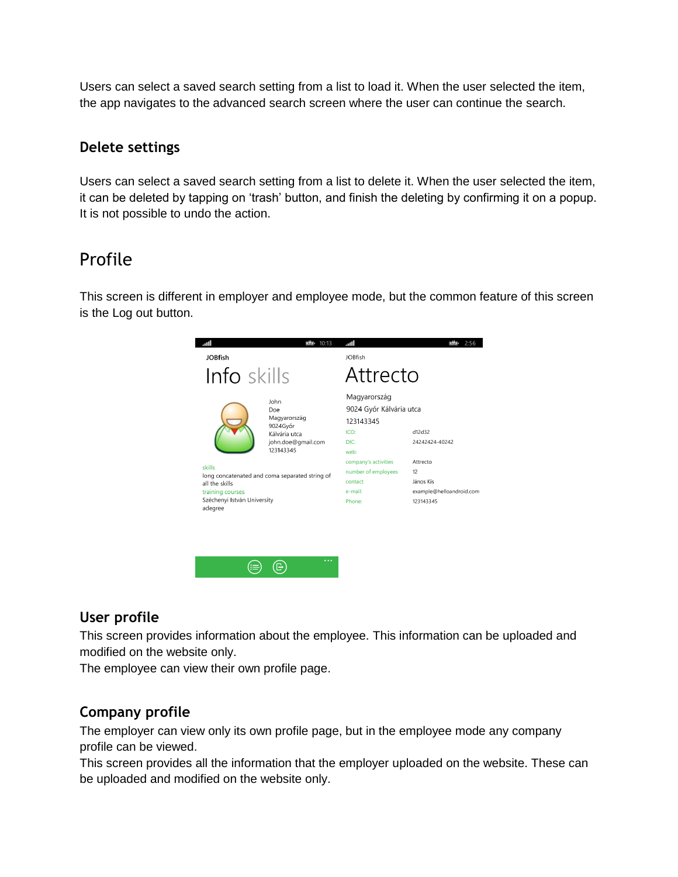Users can select a saved search setting from a list to load it. When the user selected the item, the app navigates to the advanced search screen where the user can continue the search.

#### <span id="page-6-0"></span>**Delete settings**

Users can select a saved search setting from a list to delete it. When the user selected the item, it can be deleted by tapping on 'trash' button, and finish the deleting by confirming it on a popup. It is not possible to undo the action.

### <span id="page-6-1"></span>Profile

This screen is different in employer and employee mode, but the common feature of this screen is the Log out button.



#### <span id="page-6-2"></span>**User profile**

This screen provides information about the employee. This information can be uploaded and modified on the website only.

The employee can view their own profile page.

#### <span id="page-6-3"></span>**Company profile**

The employer can view only its own profile page, but in the employee mode any company profile can be viewed.

This screen provides all the information that the employer uploaded on the website. These can be uploaded and modified on the website only.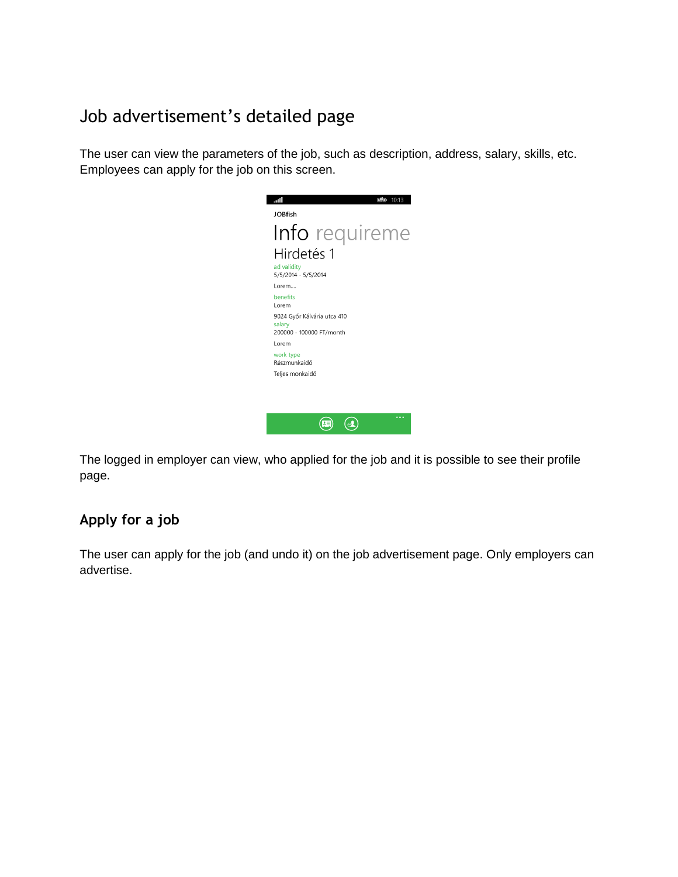# <span id="page-7-0"></span>Job advertisement's detailed page

The user can view the parameters of the job, such as description, address, salary, skills, etc. Employees can apply for the job on this screen.



The logged in employer can view, who applied for the job and it is possible to see their profile page.

### <span id="page-7-1"></span>**Apply for a job**

<span id="page-7-2"></span>The user can apply for the job (and undo it) on the job advertisement page. Only employers can advertise.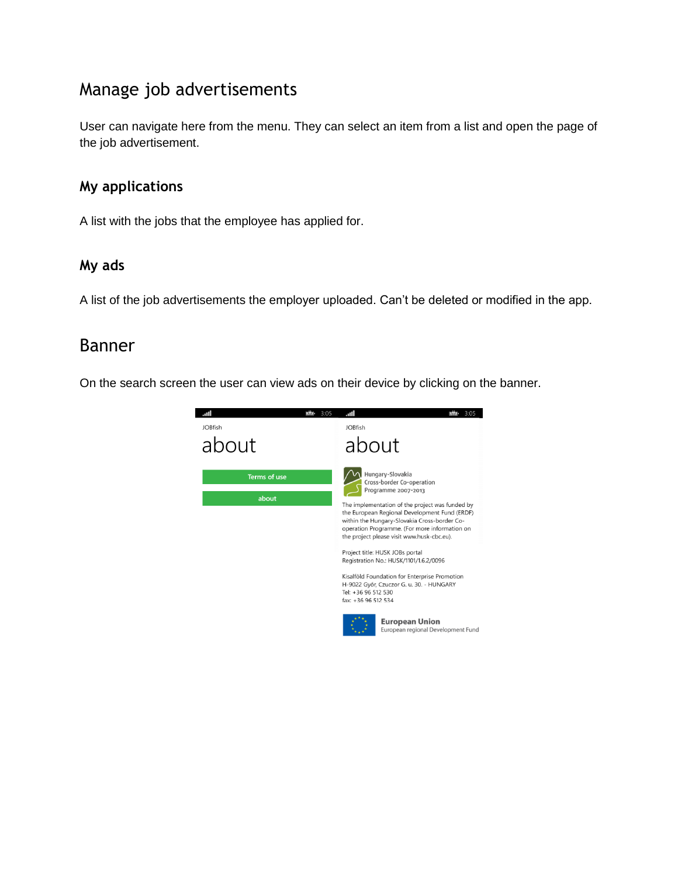## Manage job advertisements

User can navigate here from the menu. They can select an item from a list and open the page of the job advertisement.

#### <span id="page-8-0"></span>**My applications**

A list with the jobs that the employee has applied for.

#### <span id="page-8-1"></span>**My ads**

A list of the job advertisements the employer uploaded. Can't be deleted or modified in the app.

### <span id="page-8-2"></span>Banner

<span id="page-8-3"></span>On the search screen the user can view ads on their device by clicking on the banner.